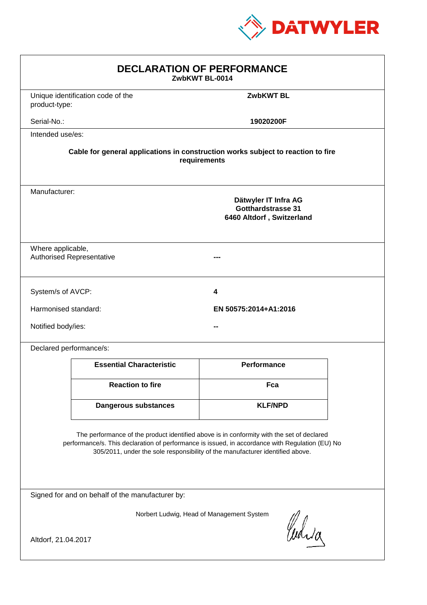

| <b>DECLARATION OF PERFORMANCE</b><br>ZwbKWT BL-0014                                                                                                                                                                                                                           |                                                                                                 |                       |  |  |  |
|-------------------------------------------------------------------------------------------------------------------------------------------------------------------------------------------------------------------------------------------------------------------------------|-------------------------------------------------------------------------------------------------|-----------------------|--|--|--|
| product-type:                                                                                                                                                                                                                                                                 | Unique identification code of the                                                               | <b>ZwbKWT BL</b>      |  |  |  |
| Serial-No.:                                                                                                                                                                                                                                                                   |                                                                                                 | 19020200F             |  |  |  |
| Intended use/es:                                                                                                                                                                                                                                                              |                                                                                                 |                       |  |  |  |
| Cable for general applications in construction works subject to reaction to fire<br>requirements                                                                                                                                                                              |                                                                                                 |                       |  |  |  |
|                                                                                                                                                                                                                                                                               | Manufacturer:<br>Dätwyler IT Infra AG<br><b>Gotthardstrasse 31</b><br>6460 Altdorf, Switzerland |                       |  |  |  |
|                                                                                                                                                                                                                                                                               | Where applicable,<br><b>Authorised Representative</b>                                           |                       |  |  |  |
| System/s of AVCP:                                                                                                                                                                                                                                                             |                                                                                                 | 4                     |  |  |  |
| Harmonised standard:                                                                                                                                                                                                                                                          |                                                                                                 | EN 50575:2014+A1:2016 |  |  |  |
| Notified body/ies:                                                                                                                                                                                                                                                            |                                                                                                 |                       |  |  |  |
| Declared performance/s:                                                                                                                                                                                                                                                       |                                                                                                 |                       |  |  |  |
|                                                                                                                                                                                                                                                                               | <b>Essential Characteristic</b>                                                                 | <b>Performance</b>    |  |  |  |
|                                                                                                                                                                                                                                                                               | <b>Reaction to fire</b>                                                                         | Fca                   |  |  |  |
|                                                                                                                                                                                                                                                                               | <b>Dangerous substances</b>                                                                     | <b>KLF/NPD</b>        |  |  |  |
| The performance of the product identified above is in conformity with the set of declared<br>performance/s. This declaration of performance is issued, in accordance with Regulation (EU) No<br>305/2011, under the sole responsibility of the manufacturer identified above. |                                                                                                 |                       |  |  |  |
| Signed for and on behalf of the manufacturer by:                                                                                                                                                                                                                              |                                                                                                 |                       |  |  |  |
| Norbert Ludwig, Head of Management System<br>Curia                                                                                                                                                                                                                            |                                                                                                 |                       |  |  |  |
| Altdorf, 21.04.2017                                                                                                                                                                                                                                                           |                                                                                                 |                       |  |  |  |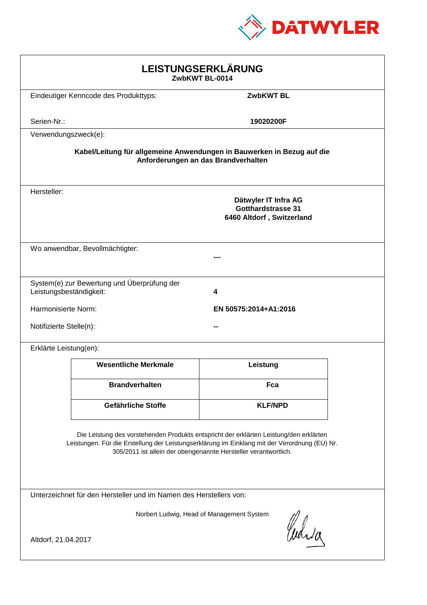

| LEISTUNGSERKLÄRUNG<br>ZwbKWT BL-0014                                                                                                                                                                                                                       |                                             |                                                                                |  |  |
|------------------------------------------------------------------------------------------------------------------------------------------------------------------------------------------------------------------------------------------------------------|---------------------------------------------|--------------------------------------------------------------------------------|--|--|
|                                                                                                                                                                                                                                                            | Eindeutiger Kenncode des Produkttyps:       | <b>ZwbKWT BL</b>                                                               |  |  |
| Serien-Nr.:                                                                                                                                                                                                                                                |                                             | 19020200F                                                                      |  |  |
| Verwendungszweck(e):                                                                                                                                                                                                                                       |                                             |                                                                                |  |  |
| Kabel/Leitung für allgemeine Anwendungen in Bauwerken in Bezug auf die<br>Anforderungen an das Brandverhalten                                                                                                                                              |                                             |                                                                                |  |  |
| Hersteller:                                                                                                                                                                                                                                                |                                             | Dätwyler IT Infra AG<br><b>Gotthardstrasse 31</b><br>6460 Altdorf, Switzerland |  |  |
|                                                                                                                                                                                                                                                            | Wo anwendbar, Bevollmächtigter:             |                                                                                |  |  |
| Leistungsbeständigkeit:                                                                                                                                                                                                                                    | System(e) zur Bewertung und Überprüfung der | 4                                                                              |  |  |
| Harmonisierte Norm:                                                                                                                                                                                                                                        |                                             | EN 50575:2014+A1:2016                                                          |  |  |
| Notifizierte Stelle(n):                                                                                                                                                                                                                                    |                                             |                                                                                |  |  |
| Erklärte Leistung(en):                                                                                                                                                                                                                                     |                                             |                                                                                |  |  |
|                                                                                                                                                                                                                                                            | <b>Wesentliche Merkmale</b>                 | Leistung                                                                       |  |  |
|                                                                                                                                                                                                                                                            | <b>Brandverhalten</b>                       | Fca                                                                            |  |  |
|                                                                                                                                                                                                                                                            | Gefährliche Stoffe                          | <b>KLF/NPD</b>                                                                 |  |  |
| Die Leistung des vorstehenden Produkts entspricht der erklärten Leistung/den erklärten<br>Leistungen. Für die Erstellung der Leistungserklärung im Einklang mit der Verordnung (EU) Nr.<br>305/2011 ist allein der obengenannte Hersteller verantwortlich. |                                             |                                                                                |  |  |
| Unterzeichnet für den Hersteller und im Namen des Herstellers von:                                                                                                                                                                                         |                                             |                                                                                |  |  |
| Norbert Ludwig, Head of Management System<br>Curia<br>Altdorf, 21.04.2017                                                                                                                                                                                  |                                             |                                                                                |  |  |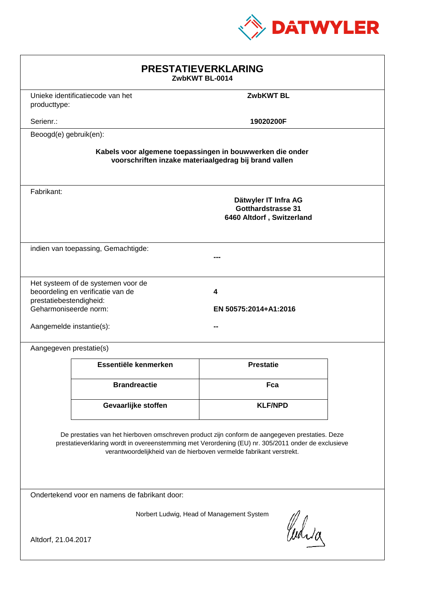

| <b>PRESTATIEVERKLARING</b><br>ZwbKWT BL-0014                                                                                                                                                                                                                                |                                                                         |                                                                                |  |  |  |
|-----------------------------------------------------------------------------------------------------------------------------------------------------------------------------------------------------------------------------------------------------------------------------|-------------------------------------------------------------------------|--------------------------------------------------------------------------------|--|--|--|
| producttype:                                                                                                                                                                                                                                                                | Unieke identificatiecode van het                                        | <b>ZwbKWT BL</b>                                                               |  |  |  |
| Serienr.:                                                                                                                                                                                                                                                                   |                                                                         | 19020200F                                                                      |  |  |  |
| Beoogd(e) gebruik(en):                                                                                                                                                                                                                                                      |                                                                         |                                                                                |  |  |  |
| Kabels voor algemene toepassingen in bouwwerken die onder<br>voorschriften inzake materiaalgedrag bij brand vallen                                                                                                                                                          |                                                                         |                                                                                |  |  |  |
| Fabrikant:                                                                                                                                                                                                                                                                  |                                                                         | Dätwyler IT Infra AG<br><b>Gotthardstrasse 31</b><br>6460 Altdorf, Switzerland |  |  |  |
|                                                                                                                                                                                                                                                                             | indien van toepassing, Gemachtigde:                                     |                                                                                |  |  |  |
| prestatiebestendigheid:<br>Geharmoniseerde norm:<br>Aangemelde instantie(s):                                                                                                                                                                                                | Het systeem of de systemen voor de<br>beoordeling en verificatie van de | 4<br>EN 50575:2014+A1:2016                                                     |  |  |  |
| Aangegeven prestatie(s)                                                                                                                                                                                                                                                     |                                                                         |                                                                                |  |  |  |
|                                                                                                                                                                                                                                                                             | Essentiële kenmerken                                                    | <b>Prestatie</b>                                                               |  |  |  |
|                                                                                                                                                                                                                                                                             | <b>Brandreactie</b>                                                     | Fca                                                                            |  |  |  |
|                                                                                                                                                                                                                                                                             | Gevaarlijke stoffen                                                     | <b>KLF/NPD</b>                                                                 |  |  |  |
| De prestaties van het hierboven omschreven product zijn conform de aangegeven prestaties. Deze<br>prestatieverklaring wordt in overeenstemming met Verordening (EU) nr. 305/2011 onder de exclusieve<br>verantwoordelijkheid van de hierboven vermelde fabrikant verstrekt. |                                                                         |                                                                                |  |  |  |
| Ondertekend voor en namens de fabrikant door:                                                                                                                                                                                                                               |                                                                         |                                                                                |  |  |  |
| Norbert Ludwig, Head of Management System<br>Curia<br>Altdorf, 21.04.2017                                                                                                                                                                                                   |                                                                         |                                                                                |  |  |  |
|                                                                                                                                                                                                                                                                             |                                                                         |                                                                                |  |  |  |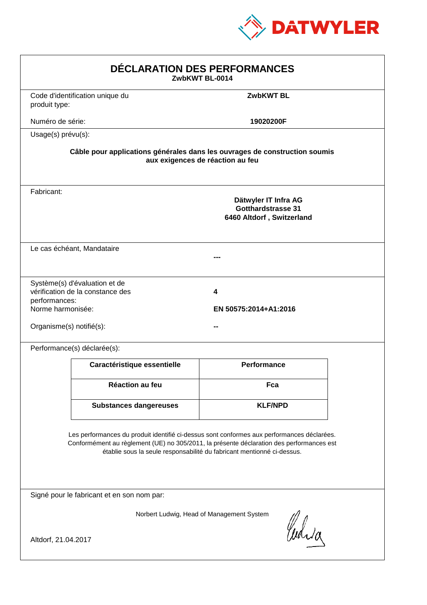

| DÉCLARATION DES PERFORMANCES<br>ZwbKWT BL-0014                                                                                                                                                                                                                   |                                                                                                                |                                                                                |  |  |  |
|------------------------------------------------------------------------------------------------------------------------------------------------------------------------------------------------------------------------------------------------------------------|----------------------------------------------------------------------------------------------------------------|--------------------------------------------------------------------------------|--|--|--|
| produit type:                                                                                                                                                                                                                                                    | Code d'identification unique du                                                                                | <b>ZwbKWT BL</b>                                                               |  |  |  |
| Numéro de série:                                                                                                                                                                                                                                                 |                                                                                                                | 19020200F                                                                      |  |  |  |
| Usage(s) prévu(s):                                                                                                                                                                                                                                               |                                                                                                                |                                                                                |  |  |  |
|                                                                                                                                                                                                                                                                  | Câble pour applications générales dans les ouvrages de construction soumis<br>aux exigences de réaction au feu |                                                                                |  |  |  |
| Fabricant:                                                                                                                                                                                                                                                       |                                                                                                                | Dätwyler IT Infra AG<br><b>Gotthardstrasse 31</b><br>6460 Altdorf, Switzerland |  |  |  |
|                                                                                                                                                                                                                                                                  | Le cas échéant, Mandataire                                                                                     |                                                                                |  |  |  |
| performances:<br>Norme harmonisée:<br>Organisme(s) notifié(s):                                                                                                                                                                                                   | Système(s) d'évaluation et de<br>vérification de la constance des                                              | 4<br>EN 50575:2014+A1:2016                                                     |  |  |  |
|                                                                                                                                                                                                                                                                  | Performance(s) déclarée(s):                                                                                    |                                                                                |  |  |  |
|                                                                                                                                                                                                                                                                  | Caractéristique essentielle                                                                                    | <b>Performance</b>                                                             |  |  |  |
|                                                                                                                                                                                                                                                                  | Réaction au feu                                                                                                | Fca                                                                            |  |  |  |
|                                                                                                                                                                                                                                                                  | <b>Substances dangereuses</b>                                                                                  | <b>KLF/NPD</b>                                                                 |  |  |  |
| Les performances du produit identifié ci-dessus sont conformes aux performances déclarées.<br>Conformément au règlement (UE) no 305/2011, la présente déclaration des performances est<br>établie sous la seule responsabilité du fabricant mentionné ci-dessus. |                                                                                                                |                                                                                |  |  |  |
|                                                                                                                                                                                                                                                                  | Signé pour le fabricant et en son nom par:                                                                     |                                                                                |  |  |  |
| Norbert Ludwig, Head of Management System<br>Curia<br>Altdorf, 21.04.2017                                                                                                                                                                                        |                                                                                                                |                                                                                |  |  |  |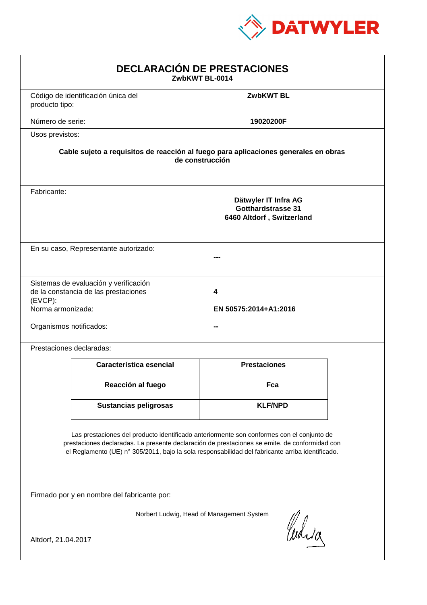

| <b>DECLARACIÓN DE PRESTACIONES</b><br>ZwbKWT BL-0014                                                                                                                                                                                                                                           |                                                                                                        |                            |  |  |  |
|------------------------------------------------------------------------------------------------------------------------------------------------------------------------------------------------------------------------------------------------------------------------------------------------|--------------------------------------------------------------------------------------------------------|----------------------------|--|--|--|
| producto tipo:                                                                                                                                                                                                                                                                                 | Código de identificación única del                                                                     | <b>ZwbKWT BL</b>           |  |  |  |
| Número de serie:                                                                                                                                                                                                                                                                               |                                                                                                        | 19020200F                  |  |  |  |
| Usos previstos:                                                                                                                                                                                                                                                                                |                                                                                                        |                            |  |  |  |
|                                                                                                                                                                                                                                                                                                | Cable sujeto a requisitos de reacción al fuego para aplicaciones generales en obras<br>de construcción |                            |  |  |  |
| Fabricante:                                                                                                                                                                                                                                                                                    | Dätwyler IT Infra AG<br><b>Gotthardstrasse 31</b><br>6460 Altdorf, Switzerland                         |                            |  |  |  |
|                                                                                                                                                                                                                                                                                                | En su caso, Representante autorizado:                                                                  |                            |  |  |  |
| (EVCP):<br>Norma armonizada:<br>Organismos notificados:                                                                                                                                                                                                                                        | Sistemas de evaluación y verificación<br>de la constancia de las prestaciones                          | 4<br>EN 50575:2014+A1:2016 |  |  |  |
|                                                                                                                                                                                                                                                                                                | Prestaciones declaradas:                                                                               |                            |  |  |  |
|                                                                                                                                                                                                                                                                                                | Característica esencial                                                                                | <b>Prestaciones</b>        |  |  |  |
|                                                                                                                                                                                                                                                                                                | Reacción al fuego                                                                                      | Fca                        |  |  |  |
|                                                                                                                                                                                                                                                                                                | <b>Sustancias peligrosas</b>                                                                           | <b>KLF/NPD</b>             |  |  |  |
| Las prestaciones del producto identificado anteriormente son conformes con el conjunto de<br>prestaciones declaradas. La presente declaración de prestaciones se emite, de conformidad con<br>el Reglamento (UE) nº 305/2011, bajo la sola responsabilidad del fabricante arriba identificado. |                                                                                                        |                            |  |  |  |
| Firmado por y en nombre del fabricante por:                                                                                                                                                                                                                                                    |                                                                                                        |                            |  |  |  |
| Norbert Ludwig, Head of Management System<br>Curia<br>Altdorf, 21.04.2017                                                                                                                                                                                                                      |                                                                                                        |                            |  |  |  |